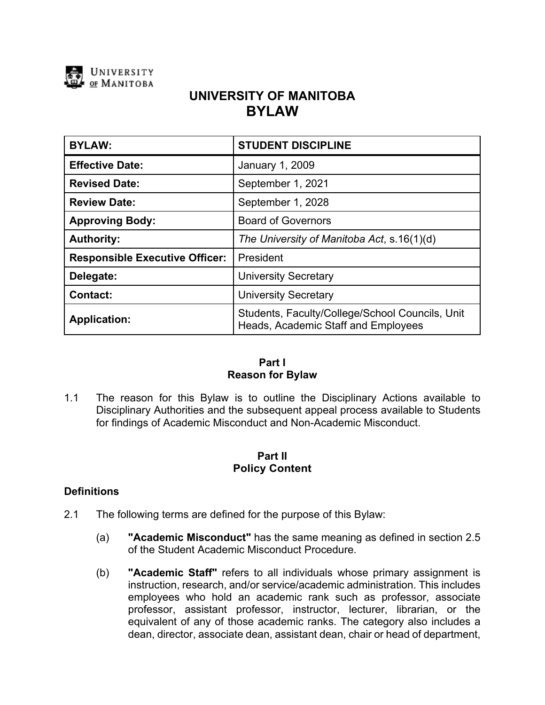

# **UNIVERSITY OF MANITOBA BYLAW**

| <b>BYLAW:</b>                         | <b>STUDENT DISCIPLINE</b>                                                              |
|---------------------------------------|----------------------------------------------------------------------------------------|
| <b>Effective Date:</b>                | <b>January 1, 2009</b>                                                                 |
| <b>Revised Date:</b>                  | September 1, 2021                                                                      |
| <b>Review Date:</b>                   | September 1, 2028                                                                      |
| <b>Approving Body:</b>                | <b>Board of Governors</b>                                                              |
| <b>Authority:</b>                     | The University of Manitoba Act, s.16(1)(d)                                             |
| <b>Responsible Executive Officer:</b> | President                                                                              |
| Delegate:                             | <b>University Secretary</b>                                                            |
| <b>Contact:</b>                       | <b>University Secretary</b>                                                            |
| <b>Application:</b>                   | Students, Faculty/College/School Councils, Unit<br>Heads, Academic Staff and Employees |

# **Part I Reason for Bylaw**

1.1 The reason for this Bylaw is to outline the Disciplinary Actions available to Disciplinary Authorities and the subsequent appeal process available to Students for findings of Academic Misconduct and Non-Academic Misconduct.

## **Part II Policy Content**

### **Definitions**

- 2.1 The following terms are defined for the purpose of this Bylaw:
	- (a) **"Academic Misconduct"** has the same meaning as defined in section 2.5 of the Student Academic Misconduct Procedure.
	- (b) **"Academic Staff"** refers to all individuals whose primary assignment is instruction, research, and/or service/academic administration. This includes employees who hold an academic rank such as professor, associate professor, assistant professor, instructor, lecturer, librarian, or the equivalent of any of those academic ranks. The category also includes a dean, director, associate dean, assistant dean, chair or head of department,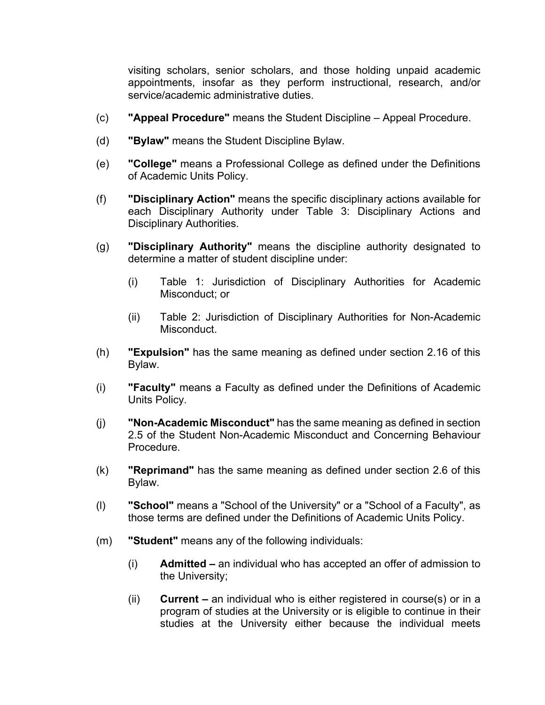visiting scholars, senior scholars, and those holding unpaid academic appointments, insofar as they perform instructional, research, and/or service/academic administrative duties.

- (c) **"Appeal Procedure"** means the Student Discipline Appeal Procedure.
- (d) **"Bylaw"** means the Student Discipline Bylaw.
- (e) **"College"** means a Professional College as defined under the Definitions of Academic Units Policy.
- (f) **"Disciplinary Action"** means the specific disciplinary actions available for each Disciplinary Authority under Table 3: Disciplinary Actions and Disciplinary Authorities.
- (g) **"Disciplinary Authority"** means the discipline authority designated to determine a matter of student discipline under:
	- (i) Table 1: Jurisdiction of Disciplinary Authorities for Academic Misconduct; or
	- (ii) Table 2: Jurisdiction of Disciplinary Authorities for Non-Academic Misconduct.
- (h) **"Expulsion"** has the same meaning as defined under section 2.16 of this Bylaw.
- (i) **"Faculty"** means a Faculty as defined under the Definitions of Academic Units Policy.
- (j) **"Non-Academic Misconduct"** has the same meaning as defined in section 2.5 of the Student Non-Academic Misconduct and Concerning Behaviour Procedure.
- (k) **"Reprimand"** has the same meaning as defined under section 2.6 of this Bylaw.
- (l) **"School"** means a "School of the University" or a "School of a Faculty", as those terms are defined under the Definitions of Academic Units Policy.
- (m) **"Student"** means any of the following individuals:
	- (i) **Admitted –** an individual who has accepted an offer of admission to the University;
	- (ii) **Current –** an individual who is either registered in course(s) or in a program of studies at the University or is eligible to continue in their studies at the University either because the individual meets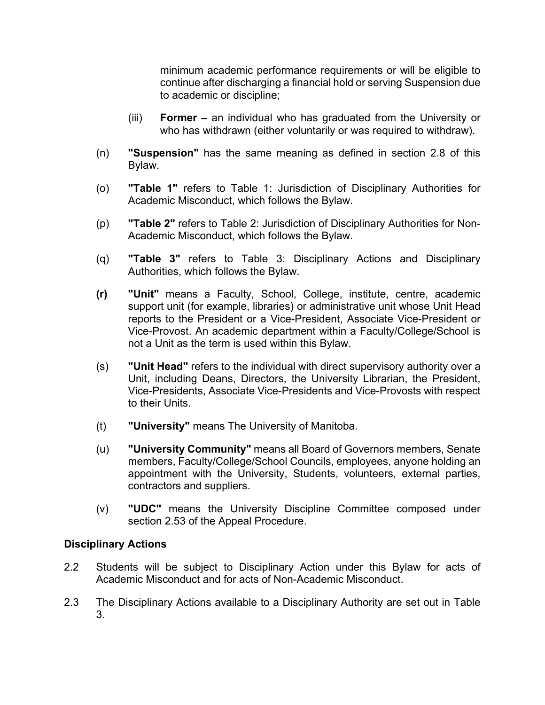minimum academic performance requirements or will be eligible to continue after discharging a financial hold or serving Suspension due to academic or discipline;

- (iii) **Former –** an individual who has graduated from the University or who has withdrawn (either voluntarily or was required to withdraw).
- (n) **"Suspension"** has the same meaning as defined in section 2.8 of this Bylaw.
- (o) **"Table 1"** refers to Table 1: Jurisdiction of Disciplinary Authorities for Academic Misconduct, which follows the Bylaw.
- (p) **"Table 2"** refers to Table 2: Jurisdiction of Disciplinary Authorities for Non-Academic Misconduct, which follows the Bylaw.
- (q) **"Table 3"** refers to Table 3: Disciplinary Actions and Disciplinary Authorities, which follows the Bylaw.
- **(r) "Unit"** means a Faculty, School, College, institute, centre, academic support unit (for example, libraries) or administrative unit whose Unit Head reports to the President or a Vice-President, Associate Vice-President or Vice-Provost. An academic department within a Faculty/College/School is not a Unit as the term is used within this Bylaw.
- (s) **"Unit Head"** refers to the individual with direct supervisory authority over a Unit, including Deans, Directors, the University Librarian, the President, Vice-Presidents, Associate Vice-Presidents and Vice-Provosts with respect to their Units.
- (t) **"University"** means The University of Manitoba.
- (u) **"University Community"** means all Board of Governors members, Senate members, Faculty/College/School Councils, employees, anyone holding an appointment with the University, Students, volunteers, external parties, contractors and suppliers.
- (v) **"UDC"** means the University Discipline Committee composed under section 2.53 of the Appeal Procedure.

### **Disciplinary Actions**

- 2.2 Students will be subject to Disciplinary Action under this Bylaw for acts of Academic Misconduct and for acts of Non-Academic Misconduct.
- 2.3 The Disciplinary Actions available to a Disciplinary Authority are set out in Table 3.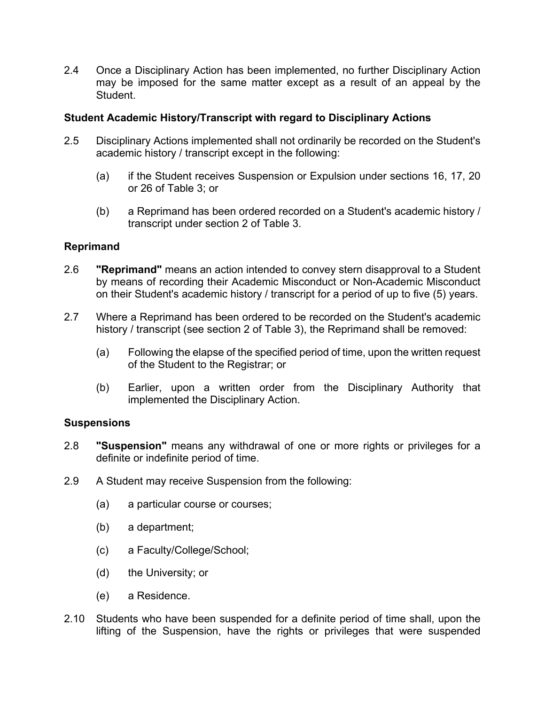2.4 Once a Disciplinary Action has been implemented, no further Disciplinary Action may be imposed for the same matter except as a result of an appeal by the Student.

## **Student Academic History/Transcript with regard to Disciplinary Actions**

- 2.5 Disciplinary Actions implemented shall not ordinarily be recorded on the Student's academic history / transcript except in the following:
	- (a) if the Student receives Suspension or Expulsion under sections 16, 17, 20 or 26 of Table 3; or
	- (b) a Reprimand has been ordered recorded on a Student's academic history / transcript under section 2 of Table 3.

## **Reprimand**

- 2.6 **"Reprimand"** means an action intended to convey stern disapproval to a Student by means of recording their Academic Misconduct or Non-Academic Misconduct on their Student's academic history / transcript for a period of up to five (5) years.
- 2.7 Where a Reprimand has been ordered to be recorded on the Student's academic history / transcript (see section 2 of Table 3), the Reprimand shall be removed:
	- (a) Following the elapse of the specified period of time, upon the written request of the Student to the Registrar; or
	- (b) Earlier, upon a written order from the Disciplinary Authority that implemented the Disciplinary Action.

# **Suspensions**

- 2.8 **"Suspension"** means any withdrawal of one or more rights or privileges for a definite or indefinite period of time.
- 2.9 A Student may receive Suspension from the following:
	- (a) a particular course or courses;
	- (b) a department;
	- (c) a Faculty/College/School;
	- (d) the University; or
	- (e) a Residence.
- 2.10 Students who have been suspended for a definite period of time shall, upon the lifting of the Suspension, have the rights or privileges that were suspended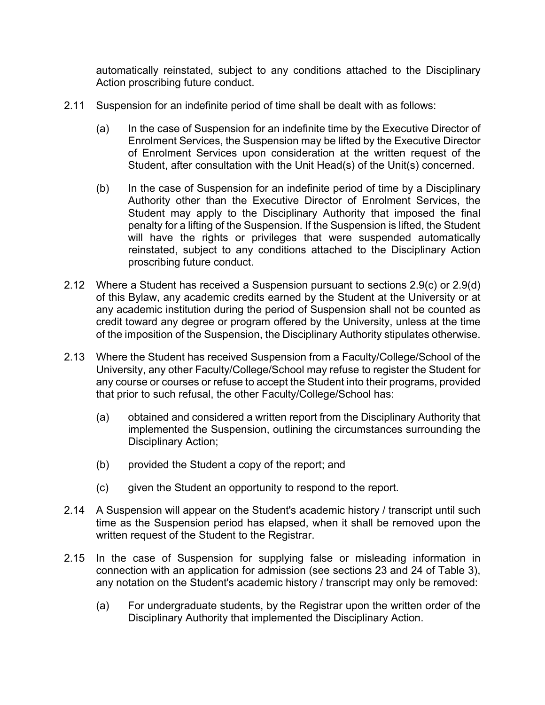automatically reinstated, subject to any conditions attached to the Disciplinary Action proscribing future conduct.

- 2.11 Suspension for an indefinite period of time shall be dealt with as follows:
	- (a) In the case of Suspension for an indefinite time by the Executive Director of Enrolment Services, the Suspension may be lifted by the Executive Director of Enrolment Services upon consideration at the written request of the Student, after consultation with the Unit Head(s) of the Unit(s) concerned.
	- (b) In the case of Suspension for an indefinite period of time by a Disciplinary Authority other than the Executive Director of Enrolment Services, the Student may apply to the Disciplinary Authority that imposed the final penalty for a lifting of the Suspension. If the Suspension is lifted, the Student will have the rights or privileges that were suspended automatically reinstated, subject to any conditions attached to the Disciplinary Action proscribing future conduct.
- 2.12 Where a Student has received a Suspension pursuant to sections 2.9(c) or 2.9(d) of this Bylaw, any academic credits earned by the Student at the University or at any academic institution during the period of Suspension shall not be counted as credit toward any degree or program offered by the University, unless at the time of the imposition of the Suspension, the Disciplinary Authority stipulates otherwise.
- 2.13 Where the Student has received Suspension from a Faculty/College/School of the University, any other Faculty/College/School may refuse to register the Student for any course or courses or refuse to accept the Student into their programs, provided that prior to such refusal, the other Faculty/College/School has:
	- (a) obtained and considered a written report from the Disciplinary Authority that implemented the Suspension, outlining the circumstances surrounding the Disciplinary Action;
	- (b) provided the Student a copy of the report; and
	- (c) given the Student an opportunity to respond to the report.
- 2.14 A Suspension will appear on the Student's academic history / transcript until such time as the Suspension period has elapsed, when it shall be removed upon the written request of the Student to the Registrar.
- 2.15 In the case of Suspension for supplying false or misleading information in connection with an application for admission (see sections 23 and 24 of Table 3), any notation on the Student's academic history / transcript may only be removed:
	- (a) For undergraduate students, by the Registrar upon the written order of the Disciplinary Authority that implemented the Disciplinary Action.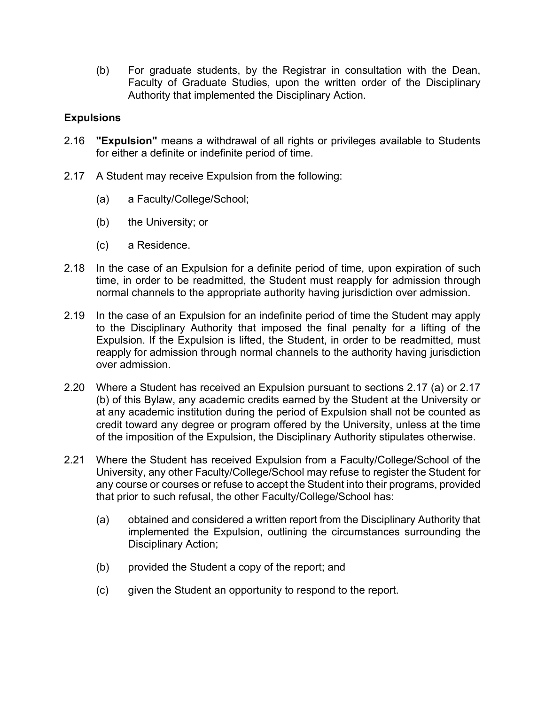(b) For graduate students, by the Registrar in consultation with the Dean, Faculty of Graduate Studies, upon the written order of the Disciplinary Authority that implemented the Disciplinary Action.

# **Expulsions**

- 2.16 **"Expulsion"** means a withdrawal of all rights or privileges available to Students for either a definite or indefinite period of time.
- 2.17 A Student may receive Expulsion from the following:
	- (a) a Faculty/College/School;
	- (b) the University; or
	- (c) a Residence.
- 2.18 In the case of an Expulsion for a definite period of time, upon expiration of such time, in order to be readmitted, the Student must reapply for admission through normal channels to the appropriate authority having jurisdiction over admission.
- 2.19 In the case of an Expulsion for an indefinite period of time the Student may apply to the Disciplinary Authority that imposed the final penalty for a lifting of the Expulsion. If the Expulsion is lifted, the Student, in order to be readmitted, must reapply for admission through normal channels to the authority having jurisdiction over admission.
- 2.20 Where a Student has received an Expulsion pursuant to sections 2.17 (a) or 2.17 (b) of this Bylaw, any academic credits earned by the Student at the University or at any academic institution during the period of Expulsion shall not be counted as credit toward any degree or program offered by the University, unless at the time of the imposition of the Expulsion, the Disciplinary Authority stipulates otherwise.
- 2.21 Where the Student has received Expulsion from a Faculty/College/School of the University, any other Faculty/College/School may refuse to register the Student for any course or courses or refuse to accept the Student into their programs, provided that prior to such refusal, the other Faculty/College/School has:
	- (a) obtained and considered a written report from the Disciplinary Authority that implemented the Expulsion, outlining the circumstances surrounding the Disciplinary Action;
	- (b) provided the Student a copy of the report; and
	- (c) given the Student an opportunity to respond to the report.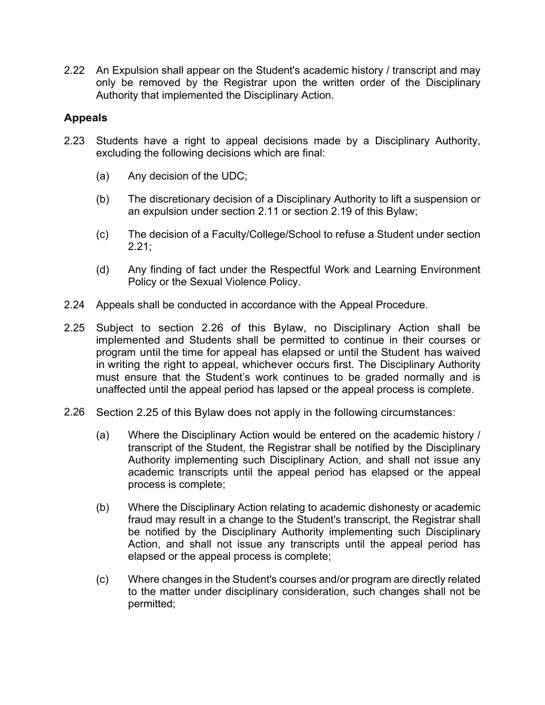2.22 An Expulsion shall appear on the Student's academic history / transcript and may only be removed by the Registrar upon the written order of the Disciplinary Authority that implemented the Disciplinary Action.

## **Appeals**

- 2.23 Students have a right to appeal decisions made by a Disciplinary Authority, excluding the following decisions which are final:
	- (a) Any decision of the UDC;
	- (b) The discretionary decision of a Disciplinary Authority to lift a suspension or an expulsion under section 2.11 or section 2.19 of this Bylaw;
	- (c) The decision of a Faculty/College/School to refuse a Student under section 2.21;
	- (d) Any finding of fact under the Respectful Work and Learning Environment Policy or the Sexual Violence Policy.
- 2.24 Appeals shall be conducted in accordance with the Appeal Procedure.
- 2.25 Subject to section 2.26 of this Bylaw, no Disciplinary Action shall be implemented and Students shall be permitted to continue in their courses or program until the time for appeal has elapsed or until the Student has waived in writing the right to appeal, whichever occurs first. The Disciplinary Authority must ensure that the Student's work continues to be graded normally and is unaffected until the appeal period has lapsed or the appeal process is complete.
- 2.26 Section 2.25 of this Bylaw does not apply in the following circumstances:
	- (a) Where the Disciplinary Action would be entered on the academic history / transcript of the Student, the Registrar shall be notified by the Disciplinary Authority implementing such Disciplinary Action, and shall not issue any academic transcripts until the appeal period has elapsed or the appeal process is complete;
	- (b) Where the Disciplinary Action relating to academic dishonesty or academic fraud may result in a change to the Student's transcript, the Registrar shall be notified by the Disciplinary Authority implementing such Disciplinary Action, and shall not issue any transcripts until the appeal period has elapsed or the appeal process is complete;
	- (c) Where changes in the Student's courses and/or program are directly related to the matter under disciplinary consideration, such changes shall not be permitted;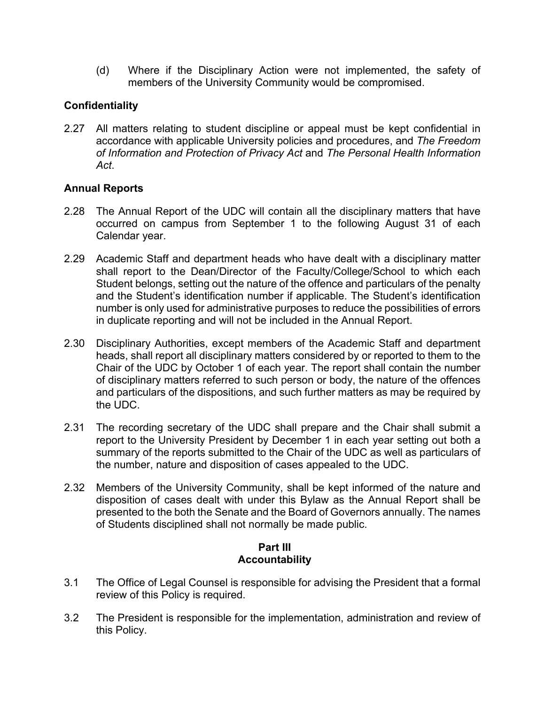(d) Where if the Disciplinary Action were not implemented, the safety of members of the University Community would be compromised.

# **Confidentiality**

2.27 All matters relating to student discipline or appeal must be kept confidential in accordance with applicable University policies and procedures, and *The Freedom of Information and Protection of Privacy Act* and *The Personal Health Information Act*.

# **Annual Reports**

- 2.28 The Annual Report of the UDC will contain all the disciplinary matters that have occurred on campus from September 1 to the following August 31 of each Calendar year.
- 2.29 Academic Staff and department heads who have dealt with a disciplinary matter shall report to the Dean/Director of the Faculty/College/School to which each Student belongs, setting out the nature of the offence and particulars of the penalty and the Student's identification number if applicable. The Student's identification number is only used for administrative purposes to reduce the possibilities of errors in duplicate reporting and will not be included in the Annual Report.
- 2.30 Disciplinary Authorities, except members of the Academic Staff and department heads, shall report all disciplinary matters considered by or reported to them to the Chair of the UDC by October 1 of each year. The report shall contain the number of disciplinary matters referred to such person or body, the nature of the offences and particulars of the dispositions, and such further matters as may be required by the UDC.
- 2.31 The recording secretary of the UDC shall prepare and the Chair shall submit a report to the University President by December 1 in each year setting out both a summary of the reports submitted to the Chair of the UDC as well as particulars of the number, nature and disposition of cases appealed to the UDC.
- 2.32 Members of the University Community, shall be kept informed of the nature and disposition of cases dealt with under this Bylaw as the Annual Report shall be presented to the both the Senate and the Board of Governors annually. The names of Students disciplined shall not normally be made public.

# **Part III Accountability**

- 3.1 The Office of Legal Counsel is responsible for advising the President that a formal review of this Policy is required.
- 3.2 The President is responsible for the implementation, administration and review of this Policy.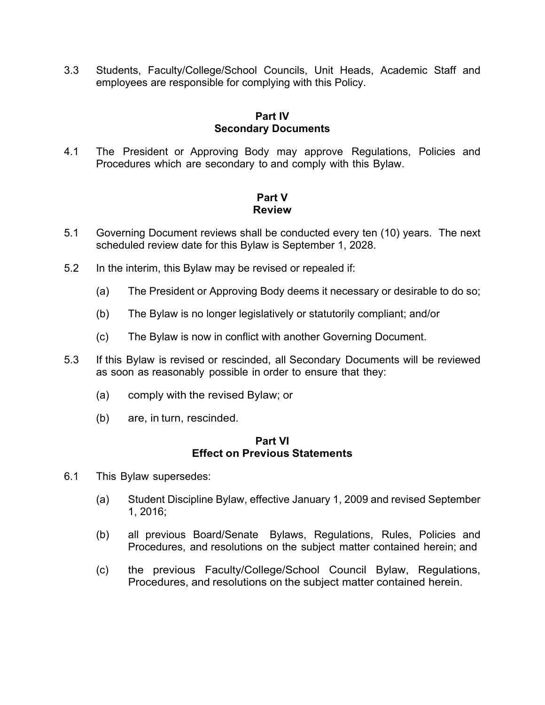3.3 Students, Faculty/College/School Councils, Unit Heads, Academic Staff and employees are responsible for complying with this Policy.

#### **Part IV Secondary Documents**

4.1 The President or Approving Body may approve Regulations, Policies and Procedures which are secondary to and comply with this Bylaw.

# **Part V Review**

- 5.1 Governing Document reviews shall be conducted every ten (10) years. The next scheduled review date for this Bylaw is September 1, 2028.
- 5.2 In the interim, this Bylaw may be revised or repealed if:
	- (a) The President or Approving Body deems it necessary or desirable to do so;
	- (b) The Bylaw is no longer legislatively or statutorily compliant; and/or
	- (c) The Bylaw is now in conflict with another Governing Document.
- 5.3 If this Bylaw is revised or rescinded, all Secondary Documents will be reviewed as soon as reasonably possible in order to ensure that they:
	- (a) comply with the revised Bylaw; or
	- (b) are, in turn, rescinded.

#### **Part VI Effect on Previous Statements**

- 6.1 This Bylaw supersedes:
	- (a) Student Discipline Bylaw, effective January 1, 2009 and revised September 1, 2016;
	- (b) all previous Board/Senate Bylaws, Regulations, Rules, Policies and Procedures, and resolutions on the subject matter contained herein; and
	- (c) the previous Faculty/College/School Council Bylaw, Regulations, Procedures, and resolutions on the subject matter contained herein.